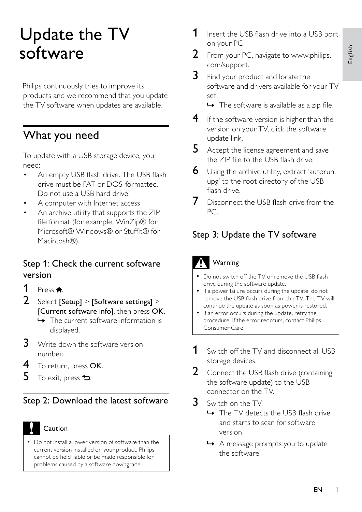# Update the TV software

Philips continuously tries to improve its products and we recommend that you update the TV software when updates are available.

## What you need

To update with a USB storage device, you need:

- An empty USB flash drive. The USB flash drive must be FAT or DOS-formatted. Do not use a USB hard drive. •
- A computer with Internet access •
- An archive utility that supports the ZIP file format (for example, WinZip® for Microsoft® Windows® or Stufflt® for Macintosh®). •

#### Step 1: Check the current software version

- 1 Press  $\hat{P}$ .<br>2 Select Is
- Select [Setup] > [Software settings] > [Current software info], then press OK.
	- $\rightarrow$  The current software information is displayed.
- **3** Write down the software version number.
- 4 To return, press OK.
- $5$  To exit, press  $\rightarrow$

### Step 2: Download the latest software

Caution

Do not install a lower version of software than the current version installed on your product. Philips cannot be held liable or be made responsible for problems caused by a software downgrade. •

- **1** Insert the USB flash drive into a USB port on your PC.
- 2 From your PC, navigate to www.philips. com/support.
- $3$  Find your product and locate the software and drivers available for your TV set.
	- $\rightarrow$  The software is available as a zip file.
- **4** If the software version is higher than the version on your TV, click the software update link.
- **5** Accept the license agreement and save the ZIP file to the USB flash drive.
- **6** Using the archive utility, extract 'autorun. upg' to the root directory of the USB flash drive.
- Disconnect the USB flash drive from the PC.

#### Step 3: Update the TV software

### Warning

- Do not switch off the TV or remove the USB flash drive during the software update.
- If a power failure occurs during the update, do not remove the USB flash drive from the TV. The TV will continue the update as soon as power is restored.
- If an error occurs during the update, retry the procedure. If the error reoccurs, contact Philips Consumer Care.
- **1** Switch off the TV and disconnect all USB storage devices.
- **2** Connect the USB flash drive (containing the software update) to the USB connector on the TV.
- $3$  Switch on the TV.
	- → The TV detects the USB flash drive and starts to scan for software version.
	- → A message prompts you to update the software.